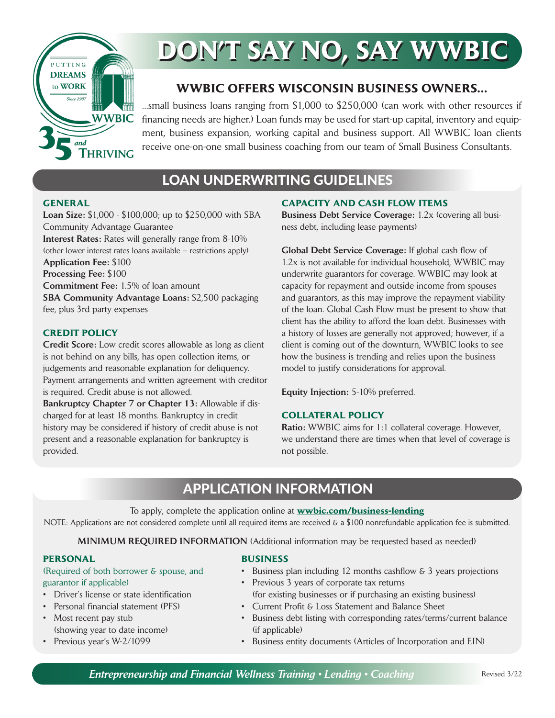

# **DON'T SAY NO, SAY WWBIC**

### **WWBIC OFFERS WISCONSIN BUSINESS OWNERS...**

...small business loans ranging from \$1,000 to \$250,000 (can work with other resources if financing needs are higher.) Loan funds may be used for start-up capital, inventory and equipment, business expansion, working capital and business support. All WWBIC loan clients receive one-on-one small business coaching from our team of Small Business Consultants.

## LOAN UNDERWRITING GUIDELINES

#### **GENERAL**

Loan Size: \$1,000 - \$100,000; up to \$250,000 with SBA Community Advantage Guarantee Interest Rates: Rates will generally range from 8-10% (other lower interest rates loans available – restrictions apply) Application Fee: \$100 Processing Fee: \$100 Commitment Fee: 1.5% of loan amount SBA Community Advantage Loans: \$2,500 packaging fee, plus 3rd party expenses

#### **CREDIT POLICY**

Credit Score: Low credit scores allowable as long as client is not behind on any bills, has open collection items, or judgements and reasonable explanation for deliquency. Payment arrangements and written agreement with creditor is required. Credit abuse is not allowed.

Bankruptcy Chapter 7 or Chapter 13: Allowable if discharged for at least 18 months. Bankruptcy in credit history may be considered if history of credit abuse is not present and a reasonable explanation for bankruptcy is provided.

#### **CAPACITY AND CASH FLOW ITEMS**

Business Debt Service Coverage: 1.2x (covering all business debt, including lease payments)

Global Debt Service Coverage: If global cash flow of 1.2x is not available for individual household, WWBIC may underwrite guarantors for coverage. WWBIC may look at capacity for repayment and outside income from spouses and guarantors, as this may improve the repayment viability of the loan. Global Cash Flow must be present to show that client has the ability to afford the loan debt. Businesses with a history of losses are generally not approved; however, if a client is coming out of the downturn, WWBIC looks to see how the business is trending and relies upon the business model to justify considerations for approval.

Equity Injection: 5-10% preferred.

#### **COLLATERAL POLICY**

Ratio: WWBIC aims for 1:1 collateral coverage. However, we understand there are times when that level of coverage is not possible.

## APPLICATION INFORMATION

To apply, complete the application online at **[wwbic.com/business-lending](https://www.wwbic.com/business-lending/)**

NOTE: Applications are not considered complete until all required items are received & a \$100 nonrefundable application fee is submitted.

MINIMUM REQUIRED INFORMATION (Additional information may be requested based as needed)

#### **PERSONAL**

#### (Required of both borrower & spouse, and guarantor if applicable)

- Driver's license or state identification
- Personal financial statement (PFS)
- Most recent pay stub (showing year to date income)
- Previous year's W-2/1099

#### **BUSINESS**

- Business plan including 12 months cashflow & 3 years projections
- Previous 3 years of corporate tax returns (for existing businesses or if purchasing an existing business)
- Current Profit & Loss Statement and Balance Sheet
- Business debt listing with corresponding rates/terms/current balance (if applicable)
- Business entity documents (Articles of Incorporation and EIN)